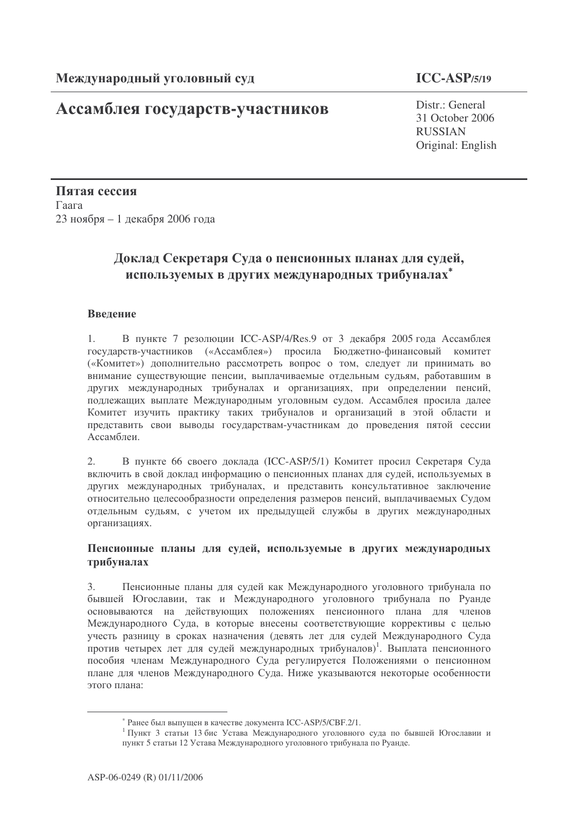## Ассамблея государств-участников

### $ICC-ASP/5/19$

Distr.: General 31 October 2006 **RUSSIAN** Original: English

Пятая сессия Гаага 23 ноября – 1 декабря 2006 года

# Доклад Секретаря Суда о пенсионных планах для судей, используемых в других международных трибуналах\*

### Введение

 $1<sup>1</sup>$ В пункте 7 резолюции ICC-ASP/4/Res.9 от 3 декабря 2005 года Ассамблея государств-участников («Ассамблея») просила Бюджетно-финансовый комитет («Комитет») дополнительно рассмотреть вопрос о том, следует ли принимать во внимание существующие пенсии, выплачиваемые отдельным судьям, работавшим в других международных трибуналах и организациях, при определении пенсий, подлежащих выплате Международным уголовным судом. Ассамблея просила далее Комитет изучить практику таких трибуналов и организаций в этой области и представить свои выводы государствам-участникам до проведения пятой сессии Ассамблеи

 $2.$ В пункте 66 своего доклада (ICC-ASP/5/1) Комитет просил Секретаря Суда включить в свой локлал информацию о пенсионных планах лля сулей, используемых в других международных трибуналах, и представить консультативное заключение относительно целесообразности определения размеров пенсий, выплачиваемых Судом отдельным судьям, с учетом их предыдущей службы в других международных организациях.

#### Пенсионные планы для судей, используемые в других международных трибуналах

Пенсионные планы для судей как Международного уголовного трибунала по  $\mathcal{E}$ бывшей Югославии, так и Международного уголовного трибунала по Руанде основываются на действующих положениях пенсионного плана для членов Международного Суда, в которые внесены соответствующие коррективы с целью учесть разницу в сроках назначения (девять лет для судей Международного Суда против четырех лет для судей международных трибуналов)<sup>1</sup>. Выплата пенсионного пособия членам Международного Суда регулируется Положениями о пенсионном плане для членов Международного Суда. Ниже указываются некоторые особенности этого плана:

<sup>\*</sup> Ранее был выпущен в качестве документа ICC-ASP/5/CBF.2/1.

<sup>1</sup> Пункт 3 статьи 13 бис Устава Международного уголовного суда по бывшей Югославии и пункт 5 статьи 12 Устава Международного уголовного трибунала по Руанде.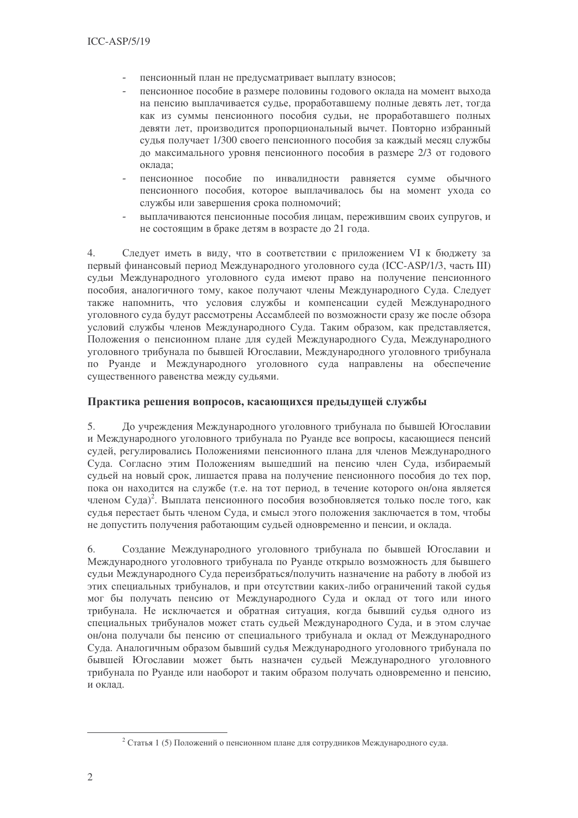- пенсионный план не предусматривает выплату взносов;
- пенсионное пособие в размере половины годового оклада на момент выхода на пенсию выплачивается судье, проработавшему полные девять лет, тогда как из суммы пенсионного пособия судьи, не проработавшего полных девяти лет, производится пропорциональный вычет. Повторно избранный судья получает 1/300 своего пенсионного пособия за каждый месяц службы до максимального уровня пенсионного пособия в размере 2/3 от годового оклада:
- пенсионное пособие по инвалидности равняется сумме обычного пенсионного пособия, которое выплачивалось бы на момент ухода со службы или завершения срока полномочий;
- выплачиваются пенсионные пособия лицам, пережившим своих супругов, и не состоящим в браке детям в возрасте до 21 года.

Следует иметь в виду, что в соответствии с приложением VI к бюджету за  $\overline{4}$ . первый финансовый период Международного уголовного суда (ICC-ASP/1/3, часть III) сульи Межлународного уголовного суда имеют право на получение пенсионного пособия, аналогичного тому, какое получают члены Международного Суда. Следует также напомнить, что условия службы и компенсации судей Международного уголовного суда будут рассмотрены Ассамблеей по возможности сразу же после обзора условий службы членов Международного Суда. Таким образом, как представляется, Положения о пенсионном плане для судей Международного Суда, Международного уголовного трибунала по бывшей Югославии, Международного уголовного трибунала по Руанде и Международного уголовного суда направлены на обеспечение существенного равенства между судьями.

### Практика решения вопросов, касающихся предыдущей службы

 $5<sub>1</sub>$ До учреждения Международного уголовного трибунала по бывшей Югославии и Международного уголовного трибунала по Руанде все вопросы, касающиеся пенсий судей, регулировались Положениями пенсионного плана для членов Международного Сула. Согласно этим Положениям вышелший на пенсию член Сула, избираемый судьей на новый срок, лишается права на получение пенсионного пособия до тех пор, пока он нахолится на службе (т.е. на тот периол, в течение которого он/она является членом Суда)<sup>2</sup>. Выплата пенсионного пособия возобновляется только после того, как судья перестает быть членом Суда, и смысл этого положения заключается в том, чтобы не допустить получения работающим судьей одновременно и пенсии, и оклада.

Создание Международного уголовного трибунала по бывшей Югославии и 6. Международного уголовного трибунала по Руанде открыло возможность для бывшего судьи Международного Суда переизбраться/получить назначение на работу в любой из этих специальных трибуналов, и при отсутствии каких-либо ограничений такой судья мог бы получать пенсию от Международного Суда и оклад от того или иного трибунала. Не исключается и обратная ситуация, когда бывший судья одного из специальных трибуналов может стать судьей Международного Суда, и в этом случае он/она получали бы пенсию от специального трибунала и оклад от Международного Суда. Аналогичным образом бывший судья Международного уголовного трибунала по бывшей Югославии может быть назначен судьей Международного уголовного трибунала по Руанде или наоборот и таким образом получать одновременно и пенсию, и оклад.

<sup>&</sup>lt;sup>2</sup> Статья 1 (5) Положений о пенсионном плане для сотрудников Международного суда.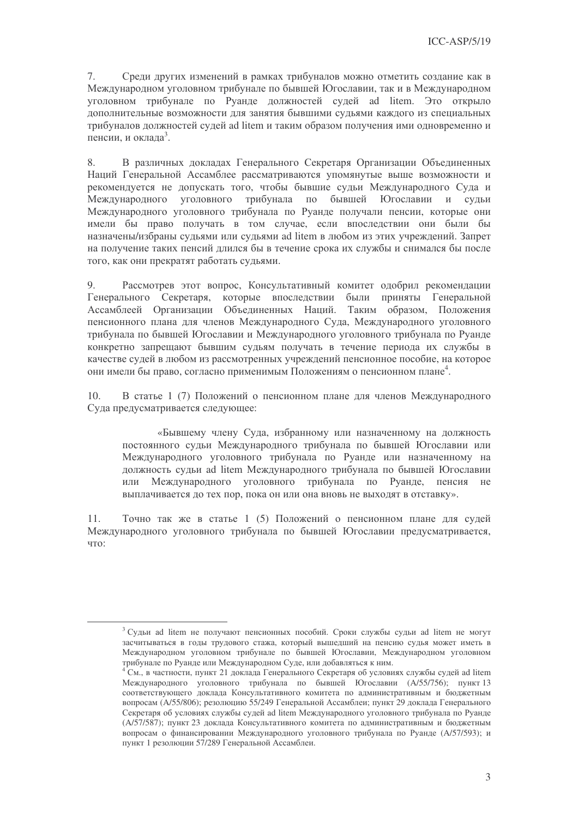7. Среди других изменений в рамках трибуналов можно отметить создание как в Международном уголовном трибунале по бывшей Югославии, так и в Международном уголовном трибунале по Руанде должностей судей ad litem. Это открыло дополнительные возможности для занятия бывшими судьями каждого из специальных трибуналов лолжностей сулей ad litem и таким образом получения ими одновременно и пенсии, и оклада<sup>3</sup>.

В различных докладах Генерального Секретаря Организации Объединенных 8. Наций Генеральной Ассамблее рассматриваются упомянутые выше возможности и рекомендуется не допускать того, чтобы бывшие судьи Международного Суда и Международного уголовного трибунала по бывшей Югославии и судьи Международного уголовного трибунала по Руанде получали пенсии, которые они имели бы право получать в том случае, если впоследствии они были бы назначены/избраны судьями или судьями ad litem в любом из этих учреждений. Запрет на получение таких пенсий длился бы в течение срока их службы и снимался бы после того, как они прекратят работать судьями.

Рассмотрев этот вопрос. Консультативный комитет одобрил рекомендации  $Q$ Генерального Секретаря, которые впоследствии были приняты Генеральной Ассамблеей Организации Объединенных Наций. Таким образом, Положения пенсионного плана для членов Международного Суда, Международного уголовного трибунала по бывшей Югославии и Международного уголовного трибунала по Руанде конкретно запрещают бывшим судьям получать в течение периода их службы в качестве судей в любом из рассмотренных учреждений пенсионное пособие, на которое они имели бы право, согласно применимым Положениям о пенсионном плане<sup>4</sup>.

 $10.$ В статье 1 (7) Положений о пенсионном плане для членов Международного Суда предусматривается следующее:

«Бывшему члену Суда, избранному или назначенному на должность постоянного судьи Международного трибунала по бывшей Югославии или Международного уголовного трибунала по Руанде или назначенному на должность судьи ad litem Международного трибунала по бывшей Югославии или Международного уголовного трибунала по Руанде, пенсия не выплачивается до тех пор, пока он или она вновь не выходят в отставку».

Точно так же в статье 1 (5) Положений о пенсионном плане для судей  $11$ Международного уголовного трибунала по бывшей Югославии предусматривается, что:

<sup>&</sup>lt;sup>3</sup> Судьи ad litem не получают пенсионных пособий. Сроки службы судьи ad litem не могут засчитываться в годы трудового стажа, который вышедший на пенсию судья может иметь в Международном уголовном трибунале по бывшей Югославии, Международном уголовном трибунале по Руанде или Международном Суде, или добавляться к ним.

<sup>&</sup>lt;sup>4</sup> См., в частности, пункт 21 доклада Генерального Секретаря об условиях службы судей ad litem Международного уголовного трибунала по бывшей Югославии (А/55/756); пункт 13 соответствующего доклада Консультативного комитета по административным и бюджетным вопросам (А/55/806); резолюцию 55/249 Генеральной Ассамблеи; пункт 29 доклада Генерального Секретаря об условиях службы судей ad litem Международного уголовного трибунала по Руанде (А/57/587); пункт 23 доклада Консультативного комитета по административным и бюджетным вопросам о финансировании Международного уголовного трибунала по Руанде (А/57/593); и пункт 1 резолюции 57/289 Генеральной Ассамблеи.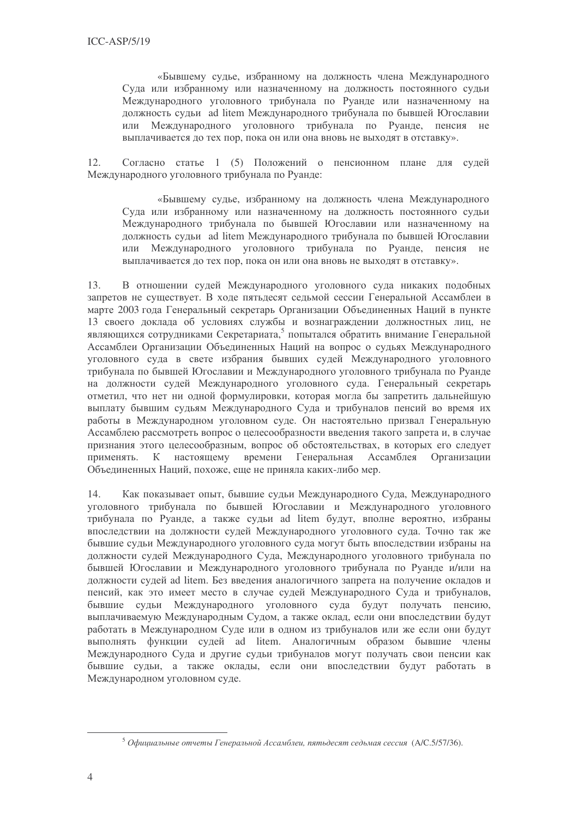«Бывшему судье, избранному на должность члена Международного Суда или избранному или назначенному на должность постоянного судьи Международного уголовного трибунала по Руанде или назначенному на должность судьи ad litem Международного трибунала по бывшей Югославии Международного уголовного трибунала по Руанде, пенсия не  $U\Pi U$ выплачивается до тех пор, пока он или она вновь не выходят в отставку».

 $12.$ Согласно статье 1 (5) Положений о пенсионном плане для судей Международного уголовного трибунала по Руанде:

«Бывшему судье, избранному на должность члена Международного Суда или избранному или назначенному на должность постоянного судьи Международного трибунала по бывшей Югославии или назначенному на должность судьи ad litem Международного трибунала по бывшей Югославии или Международного уголовного трибунала по Руанде, пенсия не выплачивается до тех пор, пока он или она вновь не выходят в отставку».

В отношении судей Международного уголовного суда никаких подобных  $13.$ запретов не существует. В ходе пятьдесят седьмой сессии Генеральной Ассамблеи в марте 2003 года Генеральный секретарь Организации Объединенных Наций в пункте 13 своего доклада об условиях службы и вознаграждении должностных лиц, не являющихся сотрудниками Секретариата,<sup>5</sup> попытался обратить внимание Генеральной Ассамблеи Организации Объединенных Наций на вопрос о сульях Международного уголовного суда в свете избрания бывших судей Международного уголовного трибунала по бывшей Югославии и Международного уголовного трибунала по Руанде на должности судей Международного уголовного суда. Генеральный секретарь отметил, что нет ни одной формулировки, которая могла бы запретить дальнейшую выплату бывшим судьям Международного Суда и трибуналов пенсий во время их работы в Международном уголовном суде. Он настоятельно призвал Генеральную Ассамблею рассмотреть вопрос о целесообразности введения такого запрета и, в случае признания этого целесообразным, вопрос об обстоятельствах, в которых его следует К настоящему времени Генеральная Организации Ассамблея применять. Объединенных Наций, похоже, еще не приняла каких-либо мер.

Как показывает опыт, бывшие судьи Международного Суда, Международного 14. уголовного трибунала по бывшей Югославии и Международного уголовного трибунала по Руанде, а также судьи ad litem будут, вполне вероятно, избраны впоследствии на должности судей Международного уголовного суда. Точно так же бывшие судьи Международного уголовного суда могут быть впоследствии избраны на должности судей Международного Суда, Международного уголовного трибунала по бывшей Югославии и Международного уголовного трибунала по Руанде и/или на должности судей ad litem. Без введения аналогичного запрета на получение окладов и пенсий, как это имеет место в случае судей Международного Суда и трибуналов, бывшие судьи Международного уголовного суда будут получать пенсию, выплачиваемую Международным Судом, а также оклад, если они впоследствии будут работать в Международном Суде или в одном из трибуналов или же если они будут выполнять функции судей ad litem. Аналогичным образом бывшие члены Международного Суда и другие судьи трибуналов могут получать свои пенсии как бывшие судьи, а также оклады, если они впоследствии будут работать в Международном уголовном суде.

 $5$  Официальные отчеты Генеральной Ассамблеи, пятьдесят седьмая сессия (А/С.5/57/36).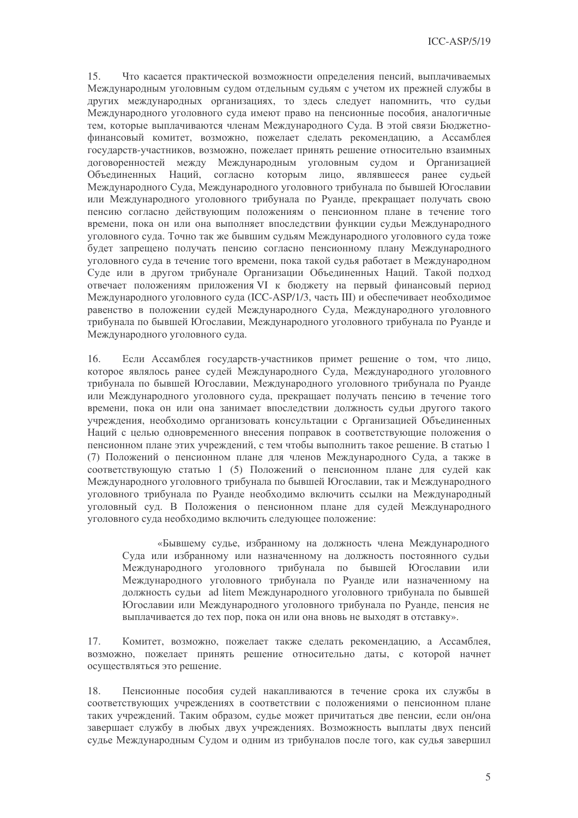15. Что касается практической возможности определения пенсий, выплачиваемых Международным уголовным судом отдельным судьям с учетом их прежней службы в других международных организациях, то здесь следует напомнить, что судьи Международного уголовного суда имеют право на пенсионные пособия, аналогичные тем, которые выплачиваются членам Международного Суда. В этой связи Бюджетнофинансовый комитет, возможно, пожелает сделать рекомендацию, а Ассамблея государств-участников, возможно, пожелает принять решение относительно взаимных договоренностей между Международным уголовным судом и Организацией Объединенных Наций, согласно которым лицо, являвшееся ранее судьей Международного Суда, Международного уголовного трибунала по бывшей Югославии или Международного уголовного трибунала по Руанде, прекращает получать свою пенсию согласно действующим положениям о пенсионном плане в течение того времени, пока он или она выполняет впоследствии функции судьи Международного уголовного суда. Точно так же бывшим судьям Международного уголовного суда тоже будет запрещено получать пенсию согласно пенсионному плану Международного уголовного суда в течение того времени, пока такой судья работает в Международном Суде или в другом трибунале Организации Объединенных Наций. Такой подход отвечает положениям приложения VI к бюджету на первый финансовый период Международного уголовного суда (ICC-ASP/1/3, часть III) и обеспечивает необходимое равенство в положении судей Международного Суда, Международного уголовного трибунала по бывшей Югославии, Международного уголовного трибунала по Руанде и Международного уголовного суда.

 $16.$ Если Ассамблея государств-участников примет решение о том, что лицо, которое являлось ранее судей Международного Суда, Международного уголовного трибунала по бывшей Югославии, Международного уголовного трибунала по Руанде или Международного уголовного суда, прекращает получать пенсию в течение того времени, пока он или она занимает впоследствии должность судьи другого такого учреждения, необходимо организовать консультации с Организацией Объединенных Наций с целью одновременного внесения поправок в соответствующие положения о пенсионном плане этих учреждений, с тем чтобы выполнить такое решение. В статью 1 (7) Положений о пенсионном плане для членов Международного Суда, а также в соответствующую статью 1 (5) Положений о пенсионном плане для судей как Международного уголовного трибунала по бывшей Югославии, так и Международного уголовного трибунала по Руанде необходимо включить ссылки на Международный уголовный суд. В Положения о пенсионном плане для судей Международного уголовного суда необходимо включить следующее положение:

«Бывшему судье, избранному на должность члена Международного Суда или избранному или назначенному на должность постоянного судьи Международного уголовного трибунала по бывшей Югославии или Международного уголовного трибунала по Руанде или назначенному на должность судьи ad litem Международного уголовного трибунала по бывшей Югославии или Международного уголовного трибунала по Руанде, пенсия не выплачивается до тех пор, пока он или она вновь не выходят в отставку».

Комитет, возможно, пожелает также сделать рекомендацию, а Ассамблея, 17. возможно, пожелает принять решение относительно даты, с которой начнет осуществляться это решение.

18. Пенсионные пособия судей накапливаются в течение срока их службы в соответствующих учреждениях в соответствии с положениями о пенсионном плане таких учреждений. Таким образом, судье может причитаться две пенсии, если он/она завершает службу в любых двух учреждениях. Возможность выплаты двух пенсий судье Международным Судом и одним из трибуналов после того, как судья завершил